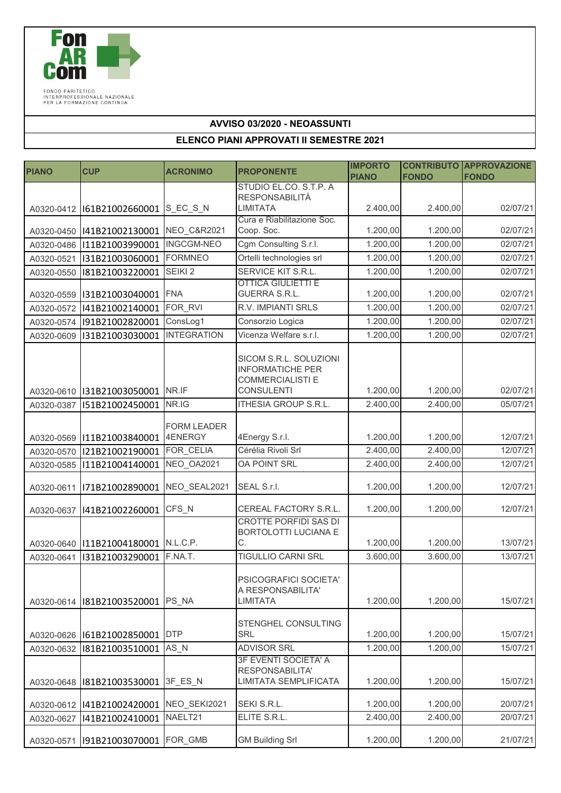

FONDO PARITETICO<br>INTERPROFESSIONALE NAZIONALE<br>PER LA FORMAZIONE CONTINUA

## **AVVISO 03/2020 - NEOASSUNTI**

## **ELENCO PIANI APPROVATI II SEMESTRE 2021**

| <b>PIANO</b> | <b>CUP</b>                              | <b>ACRONIMO</b>               | <b>PROPONENTE</b>                                                                                 | <b>IMPORTO</b> |              | <b>CONTRIBUTO APPROVAZIONE</b> |
|--------------|-----------------------------------------|-------------------------------|---------------------------------------------------------------------------------------------------|----------------|--------------|--------------------------------|
|              |                                         |                               | STUDIO EL.CO. S.T.P. A                                                                            | <b>PIANO</b>   | <b>FONDO</b> | <b>FONDO</b>                   |
|              |                                         |                               | <b>RESPONSABILITÀ</b>                                                                             |                |              |                                |
|              | A0320-0412   161B21002660001            | S_EC_S_N                      | <b>LIMITATA</b>                                                                                   | 2.400,00       | 2.400,00     | 02/07/21                       |
| A0320-0450   | 141B21002130001                         | NEO_C&R2021                   | Cura e Riabilitazione Soc.<br>Coop. Soc.                                                          | 1.200,00       | 1.200,00     | 02/07/21                       |
| A0320-0486   | I11B21003990001                         | <b>INGCGM-NEO</b>             | Cgm Consulting S.r.l.                                                                             | 1.200,00       | 1.200,00     | 02/07/21                       |
| A0320-0521   | I31B21003060001                         | <b>FORMNEO</b>                | Ortelli technologies srl                                                                          | 1.200,00       | 1.200,00     | 02/07/21                       |
| A0320-0550   | I81B21003220001                         | SEIKI <sub>2</sub>            | SERVICE KIT S.R.L.                                                                                | 1.200,00       | 1.200,00     | 02/07/21                       |
| A0320-0559   | I31B21003040001                         | <b>FNA</b>                    | <b>OTTICA GIULIETTI E</b><br>GUERRA S.R.L.                                                        | 1.200,00       | 1.200,00     | 02/07/21                       |
| A0320-0572   | I41B21002140001                         | FOR RVI                       | R.V. IMPIANTI SRLS                                                                                | 1.200,00       | 1.200,00     | 02/07/21                       |
|              | A0320-0574 191B21002820001              | ConsLog1                      | Consorzio Logica                                                                                  | 1.200,00       | 1.200,00     | 02/07/21                       |
| A0320-0609   | I31B21003030001                         | <b>INTEGRATION</b>            | Vicenza Welfare s.r.l.                                                                            | 1.200,00       | 1.200,00     | 02/07/21                       |
|              | A0320-0610   131B21003050001   NR.IF    |                               | SICOM S.R.L. SOLUZIONI<br><b>INFORMATICHE PER</b><br><b>COMMERCIALISTI E</b><br><b>CONSULENTI</b> | 1.200,00       | 1.200,00     | 02/07/21                       |
| A0320-0387   | I51B21002450001                         | NR.IG                         | ITHESIA GROUP S.R.L.                                                                              | 2.400,00       | 2.400,00     | 05/07/21                       |
|              | A0320-0569 111B21003840001              | <b>FORM LEADER</b><br>4ENERGY | 4Energy S.r.l.                                                                                    | 1.200,00       | 1.200,00     | 12/07/21                       |
| A0320-0570   | I21B21002190001                         | FOR_CELIA                     | Cérélia Rivoli Srl                                                                                | 2.400,00       | 2.400,00     | 12/07/21                       |
| A0320-0585   | I11B21004140001                         | NEO OA2021                    | <b>OA POINT SRL</b>                                                                               | 2.400,00       | 2.400,00     | 12/07/21                       |
| A0320-0611   | I71B21002890001                         | NEO_SEAL2021                  | SEAL S.r.l.                                                                                       | 1.200,00       | 1.200,00     | 12/07/21                       |
| A0320-0637   | I41B21002260001                         | CFS_N                         | CEREAL FACTORY S.R.L.                                                                             | 1.200,00       | 1.200,00     | 12/07/21                       |
|              | A0320-0640   111B21004180001   N.L.C.P. |                               | <b>CROTTE PORFIDI SAS DI</b><br>BORTOLOTTI LUCIANA E<br>C.                                        | 1.200,00       | 1.200,00     | 13/07/21                       |
| A0320-0641   | I31B21003290001                         | F.NA.T.                       | TIGULLIO CARNI SRL                                                                                | 3.600,00       | 3.600,00     | 13/07/21                       |
|              | A0320-0614   181B21003520001            | PS NA                         | PSICOGRAFICI SOCIETA'<br>A RESPONSABILITA'<br>LIMITATA                                            | 1.200,00       | 1.200,00     | 15/07/21                       |
|              | A0320-0626  I61B21002850001             | <b>DTP</b>                    | STENGHEL CONSULTING<br>SRL                                                                        | 1.200,00       | 1.200,00     | 15/07/21                       |
| A0320-0632   | I81B21003510001                         | $AS_N$                        | <b>ADVISOR SRL</b>                                                                                | 1.200,00       | 1.200,00     | 15/07/21                       |
| A0320-0648   | I81B21003530001                         | 3F_ES_N                       | 3F EVENTI SOCIETA' A<br>RESPONSABILITA'<br>LIMITATA SEMPLIFICATA                                  | 1.200,00       | 1.200,00     | 15/07/21                       |
|              | A0320-0612   141B21002420001            | NEO_SEKI2021                  | SEKI S.R.L.                                                                                       | 1.200,00       | 1.200,00     | 20/07/21                       |
| A0320-0627   | I41B21002410001                         | NAELT21                       | ELITE S.R.L.                                                                                      | 2.400,00       | 2.400,00     | 20/07/21                       |
| A0320-0571   | 191B21003070001 FOR_GMB                 |                               | <b>GM Building Srl</b>                                                                            | 1.200,00       | 1.200,00     | 21/07/21                       |
|              |                                         |                               |                                                                                                   |                |              |                                |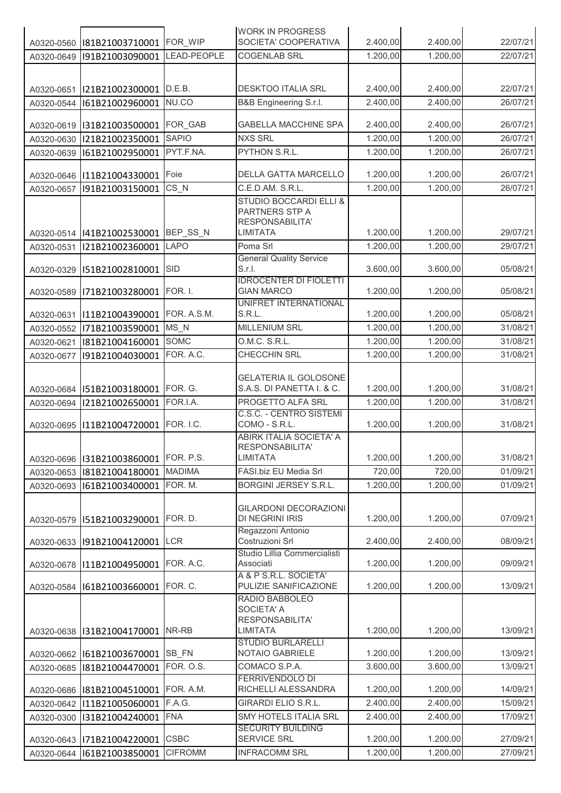|            |                             |                | <b>WORK IN PROGRESS</b>                             |          |          |          |
|------------|-----------------------------|----------------|-----------------------------------------------------|----------|----------|----------|
| A0320-0560 | I81B21003710001             | FOR WIP        | SOCIETA' COOPERATIVA                                | 2.400,00 | 2.400,00 | 22/07/21 |
| A0320-0649 | I91B21003090001             | LEAD-PEOPLE    | <b>COGENLAB SRL</b>                                 | 1.200,00 | 1.200,00 | 22/07/21 |
|            |                             |                |                                                     |          |          |          |
| A0320-0651 | I21B21002300001             | D.E.B.         | <b>DESKTOO ITALIA SRL</b>                           | 2.400,00 | 2.400,00 | 22/07/21 |
| A0320-0544 | I61B21002960001             | NU.CO          | B&B Engineering S.r.l.                              | 2.400,00 | 2.400,00 | 26/07/21 |
|            |                             |                |                                                     |          |          |          |
| A0320-0619 | I31B21003500001             | FOR_GAB        | <b>GABELLA MACCHINE SPA</b>                         | 2.400,00 | 2.400,00 | 26/07/21 |
| A0320-0630 | I21B21002350001             | <b>SAPIO</b>   | <b>NXS SRL</b>                                      | 1.200,00 | 1.200,00 | 26/07/21 |
| A0320-0639 | I61B21002950001             | PYT.F.NA.      | PYTHON S.R.L.                                       | 1.200,00 | 1.200,00 | 26/07/21 |
|            |                             |                |                                                     |          |          |          |
| A0320-0646 | I11B21004330001             | Foie           | <b>DELLA GATTA MARCELLO</b>                         | 1.200,00 | 1.200,00 | 26/07/21 |
| A0320-0657 | I91B21003150001             | $CS_N$         | C.E.D.AM. S.R.L.                                    | 1.200,00 | 1.200,00 | 26/07/21 |
|            |                             |                | <b>STUDIO BOCCARDI ELLI &amp;</b><br>PARTNERS STP A |          |          |          |
|            |                             |                | RESPONSABILITA'                                     |          |          |          |
|            | A0320-0514  I41B21002530001 | BEP_SS_N       | <b>LIMITATA</b>                                     | 1.200,00 | 1.200,00 | 29/07/21 |
| A0320-0531 | I21B21002360001             | LAPO           | Poma Srl                                            | 1.200,00 | 1.200,00 | 29/07/21 |
|            |                             |                | <b>General Quality Service</b>                      |          |          |          |
| A0320-0329 | I51B21002810001             | <b>SID</b>     | S.r.I.                                              | 3.600,00 | 3.600,00 | 05/08/21 |
|            |                             |                | <b>IDROCENTER DI FIOLETTI</b>                       |          |          |          |
| A0320-0589 | I71B21003280001             | FOR. I.        | <b>GIAN MARCO</b><br>UNIFRET INTERNATIONAL          | 1.200,00 | 1.200,00 | 05/08/21 |
| A0320-0631 | I11B21004390001             | FOR. A.S.M.    | S.R.L.                                              | 1.200,00 | 1.200,00 | 05/08/21 |
| A0320-0552 | I71B21003590001             | $MS_N$         | <b>MILLENIUM SRL</b>                                | 1.200,00 | 1.200,00 | 31/08/21 |
| A0320-0621 | I81B21004160001             | <b>SOMC</b>    | O.M.C. S.R.L.                                       | 1.200,00 | 1.200,00 | 31/08/21 |
| A0320-0677 | I91B21004030001             | FOR. A.C.      | CHECCHIN SRL                                        | 1.200,00 | 1.200,00 | 31/08/21 |
|            |                             |                |                                                     |          |          |          |
|            |                             |                | <b>GELATERIA IL GOLOSONE</b>                        |          |          |          |
| A0320-0684 | I51B21003180001             | FOR. G.        | S.A.S. DI PANETTA I. & C.                           | 1.200,00 | 1.200,00 | 31/08/21 |
| A0320-0694 | I21B21002650001             | FOR.I.A.       | PROGETTO ALFA SRL                                   | 1.200,00 | 1.200,00 | 31/08/21 |
|            |                             |                | C.S.C. - CENTRO SISTEMI                             |          |          |          |
| A0320-0695 | I11B21004720001             | FOR. I.C.      | COMO - S.R.L.<br>ABIRK ITALIA SOCIETA' A            | 1.200,00 | 1.200,00 | 31/08/21 |
|            |                             |                | <b>RESPONSABILITA'</b>                              |          |          |          |
|            | A0320-0696  I31B21003860001 | FOR. P.S.      | <b>LIMITATA</b>                                     | 1.200,00 | 1.200,00 | 31/08/21 |
| A0320-0653 | I81B21004180001             | <b>MADIMA</b>  | FASI.biz EU Media Srl                               | 720,00   | 720,00   | 01/09/21 |
| A0320-0693 | I61B21003400001             | FOR. M.        | <b>BORGINI JERSEY S.R.L.</b>                        | 1.200,00 | 1.200,00 | 01/09/21 |
|            |                             |                |                                                     |          |          |          |
|            |                             |                | <b>GILARDONI DECORAZIONI</b>                        |          |          |          |
| A0320-0579 | I51B21003290001             | FOR. D.        | DI NEGRINI IRIS                                     | 1.200,00 | 1.200,00 | 07/09/21 |
| A0320-0633 | I91B21004120001             | LCR            | Regazzoni Antonio<br>Costruzioni Srl                | 2.400,00 | 2.400,00 | 08/09/21 |
|            |                             |                | Studio Lillia Commercialisti                        |          |          |          |
| A0320-0678 | I11B21004950001             | FOR. A.C.      | Associati                                           | 1.200,00 | 1.200,00 | 09/09/21 |
|            |                             |                | A & P S.R.L. SOCIETA'                               |          |          |          |
| A0320-0584 | I61B21003660001             | FOR. C.        | PULIZIE SANIFICAZIONE                               | 1.200,00 | 1.200,00 | 13/09/21 |
|            |                             |                | RADIO BABBOLEO<br><b>SOCIETA' A</b>                 |          |          |          |
|            |                             |                | RESPONSABILITA'                                     |          |          |          |
| A0320-0638 | I31B21004170001             | NR-RB          | <b>LIMITATA</b>                                     | 1.200,00 | 1.200,00 | 13/09/21 |
|            |                             |                | <b>STUDIO BURLARELLI</b>                            |          |          |          |
| A0320-0662 | I61B21003670001             | SB_FN          | NOTAIO GABRIELE                                     | 1.200,00 | 1.200,00 | 13/09/21 |
| A0320-0685 | I81B21004470001             | FOR. O.S.      | COMACO S.P.A.                                       | 3.600,00 | 3.600,00 | 13/09/21 |
|            | I81B21004510001             | FOR. A.M.      | <b>FERRIVENDOLO DI</b><br>RICHELLI ALESSANDRA       | 1.200,00 | 1.200,00 | 14/09/21 |
| A0320-0686 |                             | F.A.G.         | <b>GIRARDI ELIO S.R.L.</b>                          | 2.400,00 | 2.400,00 | 15/09/21 |
| A0320-0642 | I11B21005060001             | <b>FNA</b>     | SMY HOTELS ITALIA SRL                               | 2.400,00 | 2.400,00 | 17/09/21 |
| A0320-0300 | I31B21004240001             |                | <b>SECURITY BUILDING</b>                            |          |          |          |
| A0320-0643 | I71B21004220001             | <b>CSBC</b>    | SERVICE SRL                                         | 1.200,00 | 1.200,00 | 27/09/21 |
| A0320-0644 | I61B21003850001             | <b>CIFROMM</b> | <b>INFRACOMM SRL</b>                                | 1.200,00 | 1.200,00 | 27/09/21 |
|            |                             |                |                                                     |          |          |          |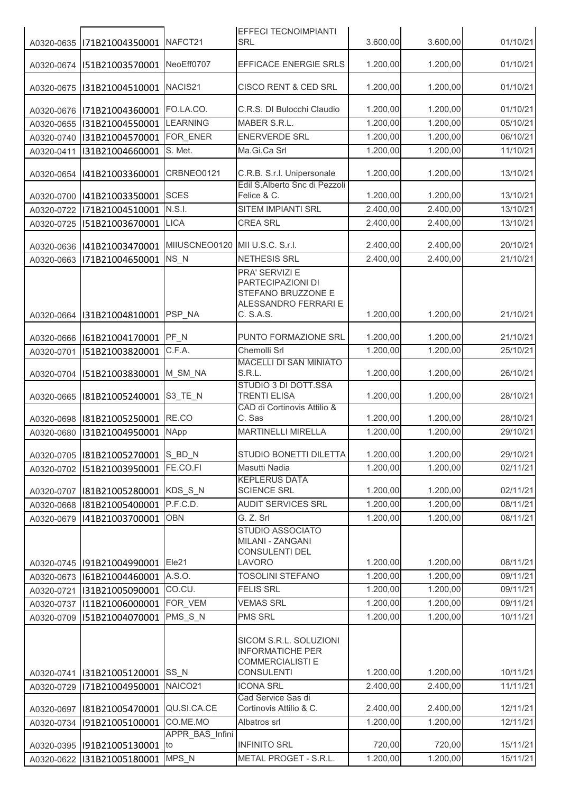|            |                                       |                                 | <b>EFFECI TECNOIMPIANTI</b>                                                                           |          |          |          |
|------------|---------------------------------------|---------------------------------|-------------------------------------------------------------------------------------------------------|----------|----------|----------|
| A0320-0635 | I71B21004350001                       | NAFCT21                         | <b>SRL</b>                                                                                            | 3.600,00 | 3.600,00 | 01/10/21 |
| A0320-0674 | I51B21003570001                       | NeoEff0707                      | EFFICACE ENERGIE SRLS                                                                                 | 1.200,00 | 1.200,00 | 01/10/21 |
| A0320-0675 | I31B21004510001                       | NACIS21                         | CISCO RENT & CED SRL                                                                                  | 1.200,00 | 1.200,00 | 01/10/21 |
| A0320-0676 | I71B21004360001                       | FO.LA.CO.                       | C.R.S. DI Bulocchi Claudio                                                                            | 1.200,00 | 1.200,00 | 01/10/21 |
| A0320-0655 | I31B21004550001                       | <b>LEARNING</b>                 | MABER S.R.L.                                                                                          | 1.200,00 | 1.200,00 | 05/10/21 |
| A0320-0740 | I31B21004570001                       | FOR ENER                        | <b>ENERVERDE SRL</b>                                                                                  | 1.200,00 | 1.200,00 | 06/10/21 |
| A0320-0411 | I31B21004660001                       | S. Met.                         | Ma.Gi.Ca Srl                                                                                          | 1.200,00 | 1.200,00 | 11/10/21 |
| A0320-0654 | I41B21003360001                       | CRBNEO0121                      | C.R.B. S.r.I. Unipersonale                                                                            | 1.200,00 | 1.200,00 | 13/10/21 |
|            | A0320-0700  I41B21003350001           | <b>SCES</b>                     | Edil S.Alberto Snc di Pezzoli<br>Felice & C.                                                          | 1.200,00 | 1.200,00 | 13/10/21 |
| A0320-0722 | I71B21004510001                       | N.S.I.                          | SITEM IMPIANTI SRL                                                                                    | 2.400,00 | 2.400,00 | 13/10/21 |
| A0320-0725 | I51B21003670001                       | <b>LICA</b>                     | <b>CREA SRL</b>                                                                                       | 2.400,00 | 2.400,00 | 13/10/21 |
|            |                                       |                                 |                                                                                                       |          |          |          |
| A0320-0636 | 141B21003470001                       | MIIUSCNEO0120 MII U.S.C. S.r.I. |                                                                                                       | 2.400,00 | 2.400,00 | 20/10/21 |
| A0320-0663 | I71B21004650001                       | NS_N                            | NETHESIS SRL                                                                                          | 2.400,00 | 2.400,00 | 21/10/21 |
| A0320-0664 | I31B21004810001                       | PSP_NA                          | <b>PRA' SERVIZI E</b><br>PARTECIPAZIONI DI<br>STEFANO BRUZZONE E<br>ALESSANDRO FERRARI E<br>C. S.A.S. | 1.200,00 | 1.200,00 | 21/10/21 |
| A0320-0666 | I61B21004170001                       | PF_N                            | PUNTO FORMAZIONE SRL                                                                                  | 1.200,00 | 1.200,00 | 21/10/21 |
| A0320-0701 | I51B21003820001                       | C.F.A.                          | Chemolli Srl                                                                                          | 1.200,00 | 1.200,00 | 25/10/21 |
|            |                                       |                                 | <b>MACELLI DI SAN MINIATO</b>                                                                         |          |          |          |
| A0320-0704 | I51B21003830001                       | M_SM_NA                         | S.R.L.                                                                                                | 1.200,00 | 1.200,00 | 26/10/21 |
| A0320-0665 | I81B21005240001                       | S3_TE_N                         | STUDIO 3 DI DOTT.SSA<br><b>TRENTI ELISA</b><br>CAD di Cortinovis Attilio &                            | 1.200,00 | 1.200,00 | 28/10/21 |
| A0320-0698 | I81B21005250001                       | RE.CO                           | C. Sas                                                                                                | 1.200,00 | 1.200,00 | 28/10/21 |
| A0320-0680 | I31B21004950001                       | <b>NApp</b>                     | <b>MARTINELLI MIRELLA</b>                                                                             | 1.200,00 | 1.200,00 | 29/10/21 |
|            |                                       |                                 |                                                                                                       | 1.200,00 | 1.200,00 | 29/10/21 |
|            | A0320-0705   181B21005270001   S_BD_N |                                 | STUDIO BONETTI DILETTA                                                                                |          |          |          |
| A0320-0702 | I51B21003950001                       | FE.CO.FI                        | Masutti Nadia<br><b>KEPLERUS DATA</b>                                                                 | 1.200,00 | 1.200,00 | 02/11/21 |
|            | A0320-0707   181B21005280001          | KDS_S_N                         | <b>SCIENCE SRL</b>                                                                                    | 1.200,00 | 1.200,00 | 02/11/21 |
| A0320-0668 | I81B21005400001                       | P.F.C.D.                        | <b>AUDIT SERVICES SRL</b>                                                                             | 1.200,00 | 1.200,00 | 08/11/21 |
| A0320-0679 | I41B21003700001                       | <b>OBN</b>                      | G. Z. Srl                                                                                             | 1.200,00 | 1.200,00 | 08/11/21 |
|            | A0320-0745  91B21004990001   Ele21    |                                 | STUDIO ASSOCIATO<br>MILANI - ZANGANI<br>CONSULENTI DEL<br>LAVORO                                      | 1.200,00 | 1.200,00 | 08/11/21 |
| A0320-0673 | I61B21004460001                       | A.S.O.                          | <b>TOSOLINI STEFANO</b>                                                                               | 1.200,00 | 1.200,00 | 09/11/21 |
| A0320-0721 | I31B21005090001                       | CO.CU.                          | <b>FELIS SRL</b>                                                                                      | 1.200,00 | 1.200,00 | 09/11/21 |
| A0320-0737 | I11B21006000001                       | FOR VEM                         | <b>VEMAS SRL</b>                                                                                      | 1.200,00 | 1.200,00 | 09/11/21 |
| A0320-0709 | I51B21004070001                       | PMS S N                         | PMS SRL                                                                                               | 1.200,00 | 1.200,00 | 10/11/21 |
|            | A0320-0741   131B21005120001 SS_N     |                                 | SICOM S.R.L. SOLUZIONI<br><b>INFORMATICHE PER</b><br><b>COMMERCIALISTI E</b><br><b>CONSULENTI</b>     | 1.200,00 | 1.200,00 | 10/11/21 |
| A0320-0729 | I71B21004950001                       | NAICO21                         | <b>ICONA SRL</b><br>Cad Service Sas di                                                                | 2.400,00 | 2.400,00 | 11/11/21 |
| A0320-0697 | I81B21005470001                       | QU.SI.CA.CE                     | Cortinovis Attilio & C.                                                                               | 2.400,00 | 2.400,00 | 12/11/21 |
| A0320-0734 | I91B21005100001                       | CO.ME.MO                        | Albatros srl                                                                                          | 1.200,00 | 1.200,00 | 12/11/21 |
|            |                                       | APPR_BAS_Infini                 |                                                                                                       |          |          |          |
| A0320-0395 | I91B21005130001                       | to                              | <b>INFINITO SRL</b>                                                                                   | 720,00   | 720,00   | 15/11/21 |
| A0320-0622 | I31B21005180001                       | MPS N                           | METAL PROGET - S.R.L.                                                                                 | 1.200,00 | 1.200,00 | 15/11/21 |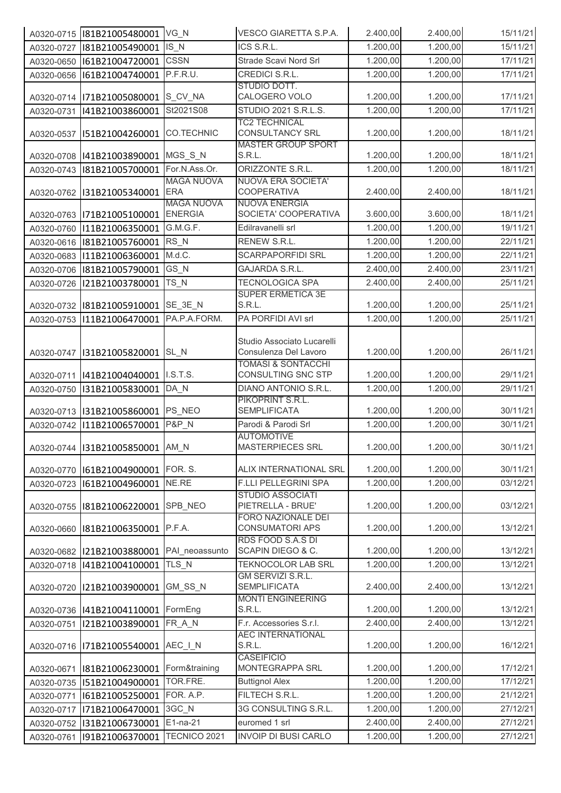|            | A0320-0715   181B21005480001   VG_N |                                     | VESCO GIARETTA S.P.A.                                                                | 2.400,00 | 2.400,00 | 15/11/21 |
|------------|-------------------------------------|-------------------------------------|--------------------------------------------------------------------------------------|----------|----------|----------|
| A0320-0727 | I81B21005490001                     | $IS_N$                              | ICS S.R.L.                                                                           | 1.200,00 | 1.200,00 | 15/11/21 |
| A0320-0650 | I61B21004720001                     | <b>CSSN</b>                         | Strade Scavi Nord Srl                                                                | 1.200,00 | 1.200,00 | 17/11/21 |
| A0320-0656 | I61B21004740001                     | P.F.R.U.                            | CREDICI S.R.L.                                                                       | 1.200,00 | 1.200,00 | 17/11/21 |
|            |                                     |                                     | STUDIO DOTT.                                                                         |          |          |          |
|            | A0320-0714  I71B21005080001         | S_CV_NA                             | CALOGERO VOLO                                                                        | 1.200,00 | 1.200,00 | 17/11/21 |
| A0320-0731 | I41B21003860001                     | St2021S08                           | STUDIO 2021 S.R.L.S.                                                                 | 1.200,00 | 1.200,00 | 17/11/21 |
| A0320-0537 | I51B21004260001                     | <b>CO.TECHNIC</b>                   | <b>TC2 TECHNICAL</b><br><b>CONSULTANCY SRL</b>                                       | 1.200,00 | 1.200,00 | 18/11/21 |
| A0320-0708 | 141B21003890001 MGS_S_N             |                                     | <b>MASTER GROUP SPORT</b><br>S.R.L.                                                  | 1.200,00 | 1.200,00 | 18/11/21 |
| A0320-0743 | I81B21005700001                     | For.N.Ass.Or.                       | ORIZZONTE S.R.L.                                                                     | 1.200,00 | 1.200,00 | 18/11/21 |
| A0320-0762 | I31B21005340001                     | <b>MAGA NUOVA</b><br><b>ERA</b>     | <b>NUOVA ERA SOCIETA'</b><br><b>COOPERATIVA</b>                                      | 2.400,00 | 2.400,00 | 18/11/21 |
|            | A0320-0763 171B21005100001          | <b>MAGA NUOVA</b><br><b>ENERGIA</b> | <b>NUOVA ENERGIA</b><br>SOCIETA' COOPERATIVA                                         | 3.600,00 | 3.600,00 | 18/11/21 |
| A0320-0760 | I11B21006350001                     | G.M.G.F.                            | Edilravanelli srl                                                                    | 1.200,00 | 1.200,00 | 19/11/21 |
| A0320-0616 | I81B21005760001                     | RS_N                                | RENEW S.R.L.                                                                         | 1.200,00 | 1.200,00 | 22/11/21 |
| A0320-0683 | I11B21006360001                     | M.d.C.                              | <b>SCARPAPORFIDI SRL</b>                                                             | 1.200,00 | 1.200,00 | 22/11/21 |
| A0320-0706 | I81B21005790001                     | GS_N                                | <b>GAJARDA S.R.L.</b>                                                                | 2.400,00 | 2.400,00 | 23/11/21 |
| A0320-0726 | I21B21003780001                     | TS_N                                | <b>TECNOLOGICA SPA</b>                                                               | 2.400,00 | 2.400,00 | 25/11/21 |
|            | A0320-0732   181B21005910001        | SE_3E_N                             | <b>SUPER ERMETICA 3E</b><br>S.R.L.                                                   | 1.200,00 | 1.200,00 | 25/11/21 |
| A0320-0753 | I11B21006470001                     | PA.P.A.FORM.                        | PA PORFIDI AVI srl                                                                   | 1.200,00 | 1.200,00 | 25/11/21 |
|            | A0320-0747  I31B21005820001         | SL N                                | Studio Associato Lucarelli<br>Consulenza Del Lavoro<br><b>TOMASI &amp; SONTACCHI</b> | 1.200,00 | 1.200,00 | 26/11/21 |
| A0320-0711 | I41B21004040001                     | I.S.T.S.                            | CONSULTING SNC STP                                                                   | 1.200,00 | 1.200,00 | 29/11/21 |
| A0320-0750 | I31B21005830001                     | DA N                                | DIANO ANTONIO S.R.L.                                                                 | 1.200,00 | 1.200,00 | 29/11/21 |
| A0320-0713 | 131B21005860001 PS_NEO              |                                     | PIKOPRINT S.R.L.<br><b>SEMPLIFICATA</b>                                              | 1.200,00 | 1.200,00 | 30/11/21 |
| A0320-0742 | I11B21006570001                     | <b>P&amp;P_N</b>                    | Parodi & Parodi Srl                                                                  | 1.200,00 | 1.200,00 | 30/11/21 |
|            | A0320-0744  I31B21005850001   AM_N  |                                     | <b>AUTOMOTIVE</b><br><b>MASTERPIECES SRL</b>                                         | 1.200,00 | 1.200,00 | 30/11/21 |
| A0320-0770 | I61B21004900001                     | FOR. S.                             | ALIX INTERNATIONAL SRL                                                               | 1.200,00 | 1.200,00 | 30/11/21 |
| A0320-0723 | I61B21004960001                     | NE.RE                               | F.LLI PELLEGRINI SPA                                                                 | 1.200,00 | 1.200,00 | 03/12/21 |
| A0320-0755 | I81B21006220001                     | SPB NEO                             | <b>STUDIO ASSOCIATI</b><br>PIETRELLA - BRUE'                                         | 1.200,00 | 1.200,00 | 03/12/21 |
| A0320-0660 | I81B21006350001                     | P.F.A.                              | <b>FORO NAZIONALE DEI</b><br><b>CONSUMATORI APS</b>                                  | 1.200,00 | 1.200,00 | 13/12/21 |
| A0320-0682 | I21B21003880001                     | PAI neoassunto                      | RDS FOOD S.A.S DI<br>SCAPIN DIEGO & C.                                               | 1.200,00 | 1.200,00 | 13/12/21 |
| A0320-0718 | I41B21004100001                     | TLS N                               | TEKNOCOLOR LAB SRL                                                                   | 1.200,00 | 1.200,00 | 13/12/21 |
| A0320-0720 | I21B21003900001                     | GM_SS_N                             | GM SERVIZI S.R.L.<br><b>SEMPLIFICATA</b>                                             | 2.400,00 | 2.400,00 | 13/12/21 |
| A0320-0736 | 141B21004110001                     | FormEng                             | <b>MONTI ENGINEERING</b><br>S.R.L.                                                   | 1.200,00 | 1.200,00 | 13/12/21 |
| A0320-0751 | I21B21003890001                     | FR_A_N                              | F.r. Accessories S.r.l.                                                              | 2.400,00 | 2.400,00 | 13/12/21 |
| A0320-0716 | I71B21005540001                     | AEC_I_N                             | <b>AEC INTERNATIONAL</b><br>S.R.L.                                                   | 1.200,00 | 1.200,00 | 16/12/21 |
| A0320-0671 | I81B21006230001                     | Form&training                       | <b>CASEIFICIO</b><br>MONTEGRAPPA SRL                                                 | 1.200,00 | 1.200,00 | 17/12/21 |
| A0320-0735 | I51B21004900001                     | TOR.FRE.                            | <b>Buttignol Alex</b>                                                                | 1.200,00 | 1.200,00 | 17/12/21 |
| A0320-0771 | I61B21005250001                     | FOR. A.P.                           | FILTECH S.R.L.                                                                       | 1.200,00 | 1.200,00 | 21/12/21 |
| A0320-0717 | I71B21006470001                     | 3GC N                               | 3G CONSULTING S.R.L.                                                                 | 1.200,00 | 1.200,00 | 27/12/21 |
| A0320-0752 | I31B21006730001                     | E1-na-21                            | euromed 1 srl                                                                        | 2.400,00 | 2.400,00 | 27/12/21 |
| A0320-0761 | I91B21006370001                     | TECNICO 2021                        | <b>INVOIP DI BUSI CARLO</b>                                                          | 1.200,00 | 1.200,00 | 27/12/21 |
|            |                                     |                                     |                                                                                      |          |          |          |